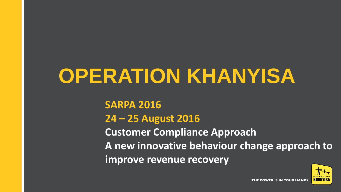## **OPERATION KHANYISA**

**SARPA 2016 24 – 25 August 2016 Customer Compliance Approach A new innovative behaviour change approach to improve revenue recovery** 

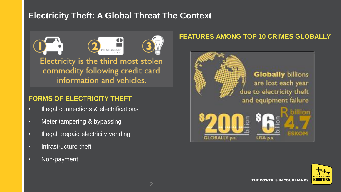## **Electricity Theft: A Global Threat The Context**



commodity following credit card information and vehicles.

#### **FORMS OF ELECTRICITY THEFT**

- Illegal connections & electrifications
- Meter tampering & bypassing
- Illegal prepaid electricity vending
- Infrastructure theft
- Non-payment

#### **FEATURES AMONG TOP 10 CRIMES GLOBALLY**



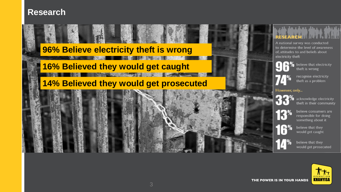## **Research**

## **96% Believe electricity theft is wrong**

## **16% Believed they would get caught**

## **14% Believed they would get prosecuted**



A national survey was conducted to determine the level of awareness of, attitudes to and beliefs about electricity theft



believe that electricity theft is wrong



recognise electricity theft as a problem

#### However, only...



acknowledge electricity theft in their community

believe consumers are responsible for doing something about it

believe that they would get caught

believe that they would get prosecuted

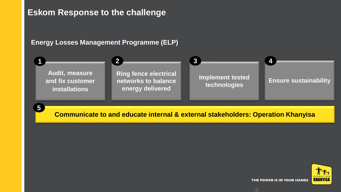## **Eskom Response to the challenge**

#### **Energy Losses Management Programme (ELP)**



**Communicate to and educate internal & external stakeholders: Operation Khanyisa**

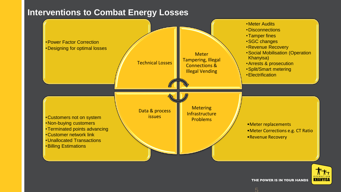## **Interventions to Combat Energy Losses**



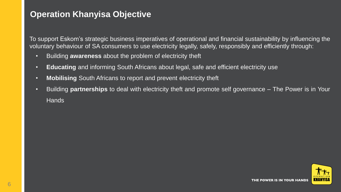## **Operation Khanyisa Objective**

To support Eskom's strategic business imperatives of operational and financial sustainability by influencing the voluntary behaviour of SA consumers to use electricity legally, safely, responsibly and efficiently through:

- Building **awareness** about the problem of electricity theft
- **Educating** and informing South Africans about legal, safe and efficient electricity use
- **Mobilising** South Africans to report and prevent electricity theft
- Building **partnerships** to deal with electricity theft and promote self governance The Power is in Your **Hands**

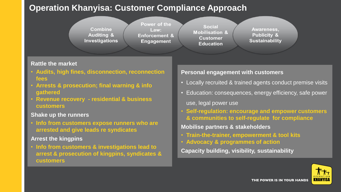## **Operation Khanyisa: Customer Compliance Approach**



#### **Rattle the market**

- **Audits, high fines, disconnection, reconnection fees**
- **Arrests & prosecution; final warning & info gathered**
- **Revenue recovery - residential & business customers**

#### **Shake up the runners**

• **Info from customers expose runners who are arrested and give leads re syndicates**

#### **Arrest the kingpins**

• **Info from customers & investigations lead to arrest & prosecution of kingpins, syndicates & customers**

#### **Personal engagement with customers**

- Locally recruited & trained agents conduct premise visits
- Education: consequences, energy efficiency, safe power use, legal power use
- **Self-regulation: encourage and empower customers & communities to self-regulate for compliance**

#### **Mobilise partners & stakeholders**

- **Train-the-trainer, empowerment & tool kits**
- **Advocacy & programmes of action**

**Capacity building, visibility, sustainability**

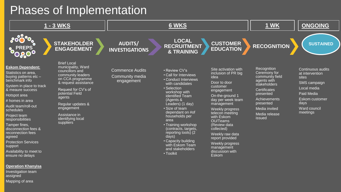## Phases of Implementation



Mapping of area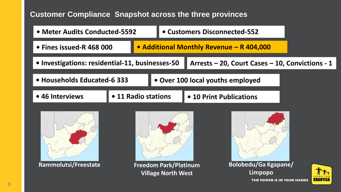## **Customer Compliance Snapshot across the three provinces**







**Rammolutsi/Freestate Freedom Park/Platinum Village North West**



**Bolobedu/Ga Kgapane/ Limpopo**THE POWER IS IN YOUR HANDS

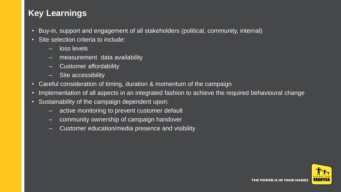## **Key Learnings**

- Buy-in, support and engagement of all stakeholders (political, community, internal)
- Site selection criteria to include:
	- loss levels
	- measurement data availability
	- Customer affordability
	- Site accessibility
- Careful consideration of timing, duration & momentum of the campaign
- Implementation of all aspects in an integrated fashion to achieve the required behavioural change
- Sustainability of the campaign dependent upon:
	- active monitoring to prevent customer default
	- community ownership of campaign handover
	- Customer education/media presence and visibility

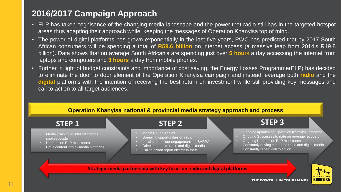## **2016/2017 Campaign Approach**

- ELP has taken cognisance of the changing media landscape and the power that radio still has in the targeted hotspot areas thus adapting their approach while keeping the messages of Operation Khanyisa top of mind.
- The power of digital platforms has grown exponentially in the last five years, PWC has predicted that by 2017 South African consumers will be spending a total of **R59.6 billion** on internet access (a massive leap from 2014's R19.8 billion). Data shows that on average South African's are spending just over **5 hou**rs a day accessing the internet from laptops and computers and **3 hours** a day from mobile phones.
- Further in light of budget constraints and importance of cost saving, the Energy Losses Programme(ELP) has decided to eliminate the door to door element of the Operation Khanyisa campaign and instead leverage both **radio** and the **digital** platforms with the intention of receiving the best return on investment while still providing key messages and call to action to all target audiences.

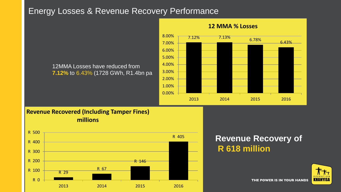## Energy Losses & Revenue Recovery Performance